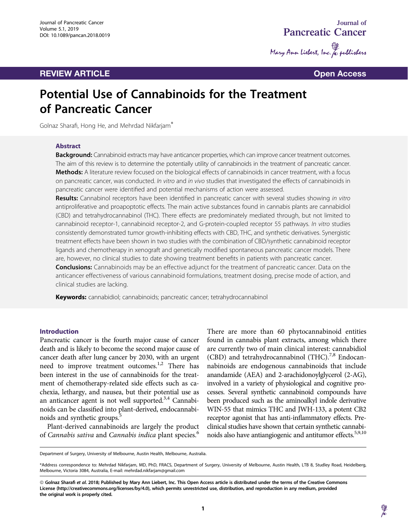# **REVIEW ARTICLE CONSUMING A REVIEW ARTICLE**



# Potential Use of Cannabinoids for the Treatment of Pancreatic Cancer

Golnaz Sharafi, Hong He, and Mehrdad Nikfarjam\*

# Abstract

Background: Cannabinoid extracts may have anticancer properties, which can improve cancer treatment outcomes. The aim of this review is to determine the potentially utility of cannabinoids in the treatment of pancreatic cancer. Methods: A literature review focused on the biological effects of cannabinoids in cancer treatment, with a focus on pancreatic cancer, was conducted. In vitro and in vivo studies that investigated the effects of cannabinoids in pancreatic cancer were identified and potential mechanisms of action were assessed.

Results: Cannabinol receptors have been identified in pancreatic cancer with several studies showing in vitro antiproliferative and proapoptotic effects. The main active substances found in cannabis plants are cannabidiol (CBD) and tetrahydrocannabinol (THC). There effects are predominately mediated through, but not limited to cannabinoid receptor-1, cannabinoid receptor-2, and G-protein-coupled receptor 55 pathways. In vitro studies consistently demonstrated tumor growth-inhibiting effects with CBD, THC, and synthetic derivatives. Synergistic treatment effects have been shown in two studies with the combination of CBD/synthetic cannabinoid receptor ligands and chemotherapy in xenograft and genetically modified spontaneous pancreatic cancer models. There are, however, no clinical studies to date showing treatment benefits in patients with pancreatic cancer.

**Conclusions:** Cannabinoids may be an effective adjunct for the treatment of pancreatic cancer. Data on the anticancer effectiveness of various cannabinoid formulations, treatment dosing, precise mode of action, and clinical studies are lacking.

Keywords: cannabidiol; cannabinoids; pancreatic cancer; tetrahydrocannabinol

## Introduction

Pancreatic cancer is the fourth major cause of cancer death and is likely to become the second major cause of cancer death after lung cancer by 2030, with an urgent need to improve treatment outcomes.<sup>1,2</sup> There has been interest in the use of cannabinoids for the treatment of chemotherapy-related side effects such as cachexia, lethargy, and nausea, but their potential use as an anticancer agent is not well supported.<sup>3,4</sup> Cannabinoids can be classified into plant-derived, endocannabinoids and synthetic groups.<sup>5</sup>

Plant-derived cannabinoids are largely the product of Cannabis sativa and Cannabis indica plant species.<sup>6</sup>

There are more than 60 phytocannabinoid entities found in cannabis plant extracts, among which there are currently two of main clinical interest: cannabidiol (CBD) and tetrahydrocannabinol (THC).<sup>7,8</sup> Endocannabinoids are endogenous cannabinoids that include anandamide (AEA) and 2-arachidonoylglycerol (2-AG), involved in a variety of physiological and cognitive processes. Several synthetic cannabinoid compounds have been produced such as the aminoalkyl indole derivative WIN-55 that mimics THC and JWH-133, a potent CB2 receptor agonist that has anti-inflammatory effects. Preclinical studies have shown that certain synthetic cannabinoids also have antiangiogenic and antitumor effects. $5,9,10$ 

Department of Surgery, University of Melbourne, Austin Health, Melbourne, Australia.

<sup>\*</sup>Address correspondence to: Mehrdad Nikfarjam, MD, PhD, FRACS, Department of Surgery, University of Melbourne, Austin Health, LTB 8, Studley Road, Heidelberg, Melbourne, Victoria 3084, Australia, E-mail: mehrdad.nikfarjam@gmail.com

<sup>©</sup> Golnaz Sharafi et al. 2018; Published by Mary Ann Liebert, Inc. This Open Access article is distributed under the terms of the Creative Commons License [\(http://creativecommons.org/licenses/by/4.0](http://creativecommons.org/licenses/by/4.0)), which permits unrestricted use, distribution, and reproduction in any medium, provided the original work is properly cited.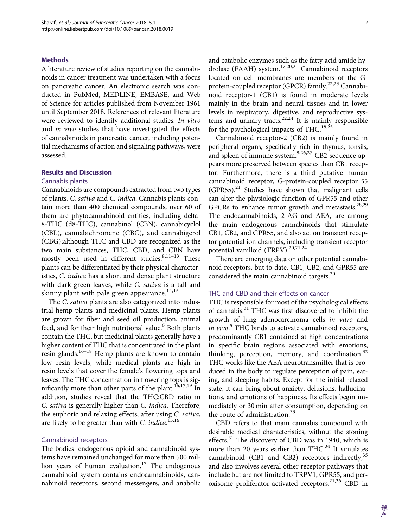#### Methods

A literature review of studies reporting on the cannabinoids in cancer treatment was undertaken with a focus on pancreatic cancer. An electronic search was conducted in PubMed, MEDLINE, EMBASE, and Web of Science for articles published from November 1961 until September 2018. References of relevant literature were reviewed to identify additional studies. In vitro and in vivo studies that have investigated the effects of cannabinoids in pancreatic cancer, including potential mechanisms of action and signaling pathways, were assessed.

# Results and Discussion

#### Cannabis plants

Cannabinoids are compounds extracted from two types of plants, C. sativa and C. indica. Cannabis plants contain more than 400 chemical compounds, over 60 of them are phytocannabinoid entities, including delta-8-THC (d8-THC), cannabinol (CBN), cannabicyclol (CBL), cannabichromene (CBC), and cannabigerol (CBG);although THC and CBD are recognized as the two main substances, THC, CBD, and CBN have mostly been used in different studies.<sup>8,11-13</sup> These plants can be differentiated by their physical characteristics, C. indica has a short and dense plant structure with dark green leaves, while C. sativa is a tall and skinny plant with pale green appearance.<sup>14,15</sup>

The C. sativa plants are also categorized into industrial hemp plants and medicinal plants. Hemp plants are grown for fiber and seed oil production, animal feed, and for their high nutritional value.<sup>6</sup> Both plants contain the THC, but medicinal plants generally have a higher content of THC that is concentrated in the plant resin glands. $16-18$  Hemp plants are known to contain low resin levels, while medical plants are high in resin levels that cover the female's flowering tops and leaves. The THC concentration in flowering tops is significantly more than other parts of the plant.<sup>16,17,19</sup> In addition, studies reveal that the THC:CBD ratio in C. sativa is generally higher than C. indica. Therefore, the euphoric and relaxing effects, after using C. sativa, are likely to be greater than with C. indica.<sup>15,16</sup>

#### Cannabinoid receptors

The bodies' endogenous opioid and cannabinoid systems have remained unchanged for more than 500 million years of human evaluation.<sup>17</sup> The endogenous cannabinoid system contains endocannabinoids, cannabinoid receptors, second messengers, and anabolic and catabolic enzymes such as the fatty acid amide hydrolase (FAAH) system.17,20,21 Cannabinoid receptors located on cell membranes are members of the Gprotein-coupled receptor (GPCR) family.<sup>22,23</sup> Cannabinoid receptor-1 (CB1) is found in moderate levels mainly in the brain and neural tissues and in lower levels in respiratory, digestive, and reproductive systems and urinary tracts. $22,24$  It is mainly responsible for the psychological impacts of  $THC<sup>18,25</sup>$ 

Cannabinoid receptor-2 (CB2) is mainly found in peripheral organs, specifically rich in thymus, tonsils, and spleen of immune system.<sup>9,26,27</sup> CB2 sequence appears more preserved between species than CB1 receptor. Furthermore, there is a third putative human cannabinoid receptor, G-protein-coupled receptor 55  $(GPR55).<sup>21</sup>$  Studies have shown that malignant cells can alter the physiologic function of GPR55 and other GPCRs to enhance tumor growth and metastasis. $28,29$ The endocannabinoids, 2-AG and AEA, are among the main endogenous cannabinoids that stimulate CB1, CB2, and GPR55, and also act on transient receptor potential ion channels, including transient receptor potential vanilloid (TRPV).<sup>20,21,24</sup>

There are emerging data on other potential cannabinoid receptors, but to date, CB1, CB2, and GPR55 are considered the main cannabinoid targets.<sup>30</sup>

#### THC and CBD and their effects on cancer

THC is responsible for most of the psychological effects of cannabis.<sup>31</sup> THC was first discovered to inhibit the growth of lung adenocarcinoma cells in vitro and in vivo.<sup>5</sup> THC binds to activate cannabinoid receptors, predominantly CB1 contained at high concentrations in specific brain regions associated with emotions, thinking, perception, memory, and coordination. $32$ THC works like the AEA neurotransmitter that is produced in the body to regulate perception of pain, eating, and sleeping habits. Except for the initial relaxed state, it can bring about anxiety, delusions, hallucinations, and emotions of happiness. Its effects begin immediately or 30 min after consumption, depending on the route of administration.<sup>33</sup>

CBD refers to that main cannabis compound with desirable medical characteristics, without the stoning effects.<sup>31</sup> The discovery of CBD was in 1940, which is more than 20 years earlier than THC. $34$  It simulates cannabinoid (CB1 and CB2) receptors indirectly,<sup>35</sup> and also involves several other receptor pathways that include but are not limited to TRPV1, GPR55, and peroxisome proliferator-activated receptors.<sup>21,36</sup> CBD in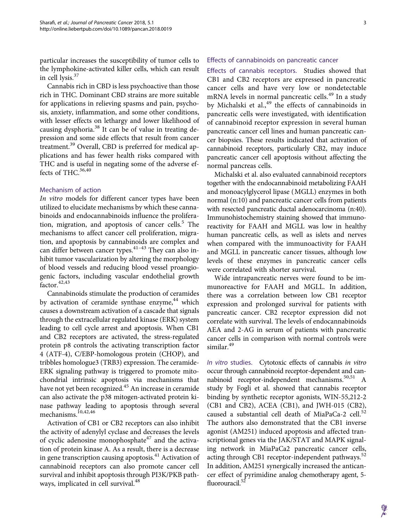particular increases the susceptibility of tumor cells to the lymphokine-activated killer cells, which can result in cell lysis.<sup>37</sup>

Cannabis rich in CBD is less psychoactive than those rich in THC. Dominant CBD strains are more suitable for applications in relieving spasms and pain, psychosis, anxiety, inflammation, and some other conditions, with lesser effects on lethargy and lower likelihood of causing dysphoria.<sup>38</sup> It can be of value in treating depression and some side effects that result from cancer treatment.<sup>39</sup> Overall, CBD is preferred for medical applications and has fewer health risks compared with THC and is useful in negating some of the adverse effects of THC. $36,40$ 

# Mechanism of action

In vitro models for different cancer types have been utilized to elucidate mechanisms by which these cannabinoids and endocannabinoids influence the proliferation, migration, and apoptosis of cancer cells. $5$  The mechanisms to affect cancer cell proliferation, migration, and apoptosis by cannabinoids are complex and can differ between cancer types.  $41-43$  They can also inhibit tumor vascularization by altering the morphology of blood vessels and reducing blood vessel proangiogenic factors, including vascular endothelial growth  $factor.<sup>42,43</sup>$ 

Cannabinoids stimulate the production of ceramides by activation of ceramide synthase enzyme,<sup>44</sup> which causes a downstream activation of a cascade that signals through the extracellular regulated kinase (ERK) system leading to cell cycle arrest and apoptosis. When CB1 and CB2 receptors are activated, the stress-regulated protein p8 controls the activating transcription factor 4 (ATF-4), C/EBP-homologous protein (CHOP), and tribbles homologue3 (TRB3) expression. The ceramide-ERK signaling pathway is triggered to promote mitochondrial intrinsic apoptosis via mechanisms that have not yet been recognized.<sup>45</sup> An increase in ceramide can also activate the p38 mitogen-activated protein kinase pathway leading to apoptosis through several mechanisms.<sup>10,42,46</sup>

Activation of CB1 or CB2 receptors can also inhibit the activity of adenylyl cyclase and decreases the levels of cyclic adenosine monophosphate<sup>47</sup> and the activation of protein kinase A. As a result, there is a decrease in gene transcription causing apoptosis.<sup>41</sup> Activation of cannabinoid receptors can also promote cancer cell survival and inhibit apoptosis through PI3K/PKB pathways, implicated in cell survival.<sup>48</sup>

# Effects of cannabinoids on pancreatic cancer

Effects of cannabis receptors. Studies showed that CB1 and CB2 receptors are expressed in pancreatic cancer cells and have very low or nondetectable mRNA levels in normal pancreatic cells.<sup>49</sup> In a study by Michalski et al., $49$  the effects of cannabinoids in pancreatic cells were investigated, with identification of cannabinoid receptor expression in several human pancreatic cancer cell lines and human pancreatic cancer biopsies. These results indicated that activation of cannabinoid receptors, particularly CB2, may induce pancreatic cancer cell apoptosis without affecting the normal pancreas cells.

Michalski et al. also evaluated cannabinoid receptors together with the endocannabinoid metabolizing FAAH and monoacylglycerol lipase (MGLL) enzymes in both normal (n:10) and pancreatic cancer cells from patients with resected pancreatic ductal adenocarcinoma (n:40). Immunohistochemistry staining showed that immunoreactivity for FAAH and MGLL was low in healthy human pancreatic cells, as well as islets and nerves when compared with the immunoactivity for FAAH and MGLL in pancreatic cancer tissues, although low levels of these enzymes in pancreatic cancer cells were correlated with shorter survival.

Wide intrapancreatic nerves were found to be immunoreactive for FAAH and MGLL. In addition, there was a correlation between low CB1 receptor expression and prolonged survival for patients with pancreatic cancer. CB2 receptor expression did not correlate with survival. The levels of endocannabinoids AEA and 2-AG in serum of patients with pancreatic cancer cells in comparison with normal controls were similar.<sup>49</sup>

In vitro studies. Cytotoxic effects of cannabis in vitro occur through cannabinoid receptor-dependent and cannabinoid receptor-independent mechanisms. $50,51$ study by Fogli et al. showed that cannabis receptor binding by synthetic receptor agonists, WIN-55,212-2 (CB1 and CB2), ACEA (CB1), and JWH-015 (CB2), caused a substantial cell death of MiaPaCa-2 cell. $52$ The authors also demonstrated that the CB1 inverse agonist (AM251) induced apoptosis and affected transcriptional genes via the JAK/STAT and MAPK signaling network in MiaPaCa2 pancreatic cancer cells, acting through CB1 receptor-independent pathways.<sup>52</sup> In addition, AM251 synergically increased the anticancer effect of pyrimidine analog chemotherapy agent, 5 fluorouracil.<sup>52</sup>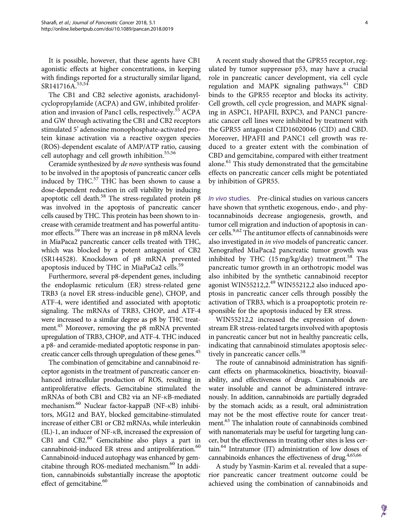It is possible, however, that these agents have CB1 agonistic effects at higher concentrations, in keeping with findings reported for a structurally similar ligand, SR141716A.<sup>53,54</sup>

The CB1 and CB2 selective agonists, arachidonylcyclopropylamide (ACPA) and GW, inhibited proliferation and invasion of Panc1 cells, respectively.<sup>55</sup> ACPA and GW through activating the CB1 and CB2 receptors stimulated 5' adenosine monophosphate-activated protein kinase activation via a reactive oxygen species (ROS)-dependent escalate of AMP/ATP ratio, causing cell autophagy and cell growth inhibition.<sup>55,56</sup>

Ceramide synthesized by de novo synthesis was found to be involved in the apoptosis of pancreatic cancer cells induced by THC.<sup>57</sup> THC has been shown to cause a dose-dependent reduction in cell viability by inducing apoptotic cell death.<sup>58</sup> The stress-regulated protein  $p8$ was involved in the apoptosis of pancreatic cancer cells caused by THC. This protein has been shown to increase with ceramide treatment and has powerful antitumor effects.<sup>59</sup> There was an increase in p8 mRNA levels in MiaPaca2 pancreatic cancer cells treated with THC, which was blocked by a potent antagonist of CB2 (SR144528). Knockdown of p8 mRNA prevented apoptosis induced by THC in MiaPaCa2 cells.<sup>59</sup>

Furthermore, several p8-dependent genes, including the endoplasmic reticulum (ER) stress-related gene TRB3 (a novel ER stress-inducible gene), CHOP, and ATF-4, were identified and associated with apoptotic signaling. The mRNAs of TRB3, CHOP, and ATF-4 were increased to a similar degree as p8 by THC treatment.<sup>45</sup> Moreover, removing the p8 mRNA prevented upregulation of TRB3, CHOP, and ATF-4. THC induced a p8- and ceramide-mediated apoptotic response in pancreatic cancer cells through upregulation of these genes.<sup>45</sup>

The combination of gemcitabine and cannabinoid receptor agonists in the treatment of pancreatic cancer enhanced intracellular production of ROS, resulting in antiproliferative effects. Gemcitabine stimulated the mRNAs of both CB1 and CB2 via an NF- $\kappa$ B-mediated mechanism. $^{60}$  Nuclear factor-kappaB (NF- $\kappa$ B) inhibitors, MG12 and BAY, blocked gemcitabine-stimulated increase of either CB1 or CB2 mRNAs, while interleukin  $(IL)$ -1, an inducer of NF- $\kappa$ B, increased the expression of CB1 and CB2.<sup>60</sup> Gemcitabine also plays a part in cannabinoid-induced ER stress and antiproliferation.<sup>60</sup> Cannabinoid-induced autophagy was enhanced by gemcitabine through ROS-mediated mechanism.<sup>60</sup> In addition, cannabinoids substantially increase the apoptotic effect of gemcitabine.<sup>60</sup>

A recent study showed that the GPR55 receptor, regulated by tumor suppressor p53, may have a crucial role in pancreatic cancer development, via cell cycle regulation and MAPK signaling pathways.<sup>61</sup> CBD binds to the GPR55 receptor and blocks its activity. Cell growth, cell cycle progression, and MAPK signaling in ASPC1, HPAFII, BXPC3, and PANC1 pancreatic cancer cell lines were inhibited by treatment with the GPR55 antagonist CID16020046 (CID) and CBD. Moreover, HPAFII and PANC1 cell growth was reduced to a greater extent with the combination of CBD and gemcitabine, compared with either treatment alone.<sup>61</sup> This study demonstrated that the gemcitabine effects on pancreatic cancer cells might be potentiated by inhibition of GPR55.

In vivo studies. Pre-clinical studies on various cancers have shown that synthetic exogenous, endo-, and phytocannabinoids decrease angiogenesis, growth, and tumor cell migration and induction of apoptosis in cancer cells.<sup>9,62</sup> The antitumor effects of cannabinoids were also investigated in in vivo models of pancreatic cancer. Xenografted MiaPaca2 pancreatic tumor growth was inhibited by THC  $(15 \text{ mg/kg/day})$  treatment.<sup>58</sup> The pancreatic tumor growth in an orthotropic model was also inhibited by the synthetic cannabinoid receptor agonist WIN55212,2.<sup>49</sup> WIN55212,2 also induced apoptosis in pancreatic cancer cells through possibly the activation of TRB3, which is a proapoptotic protein responsible for the apoptosis induced by ER stress.

WIN55212,2 increased the expression of downstream ER stress-related targets involved with apoptosis in pancreatic cancer but not in healthy pancreatic cells, indicating that cannabinoid stimulates apoptosis selectively in pancreatic cancer cells.<sup>58</sup>

The route of cannabinoid administration has significant effects on pharmacokinetics, bioactivity, bioavailability, and effectiveness of drugs. Cannabinoids are water insoluble and cannot be administered intravenously. In addition, cannabinoids are partially degraded by the stomach acids; as a result, oral administration may not be the most effective route for cancer treatment.<sup>63</sup> The inhalation route of cannabinoids combined with nanomaterials may be useful for targeting lung cancer, but the effectiveness in treating other sites is less certain.64 Intratumor (IT) administration of low doses of cannabinoids enhances the effectiveness of drug.<sup>4,65,66</sup>

A study by Yasmin-Karim et al. revealed that a superior pancreatic cancer treatment outcome could be achieved using the combination of cannabinoids and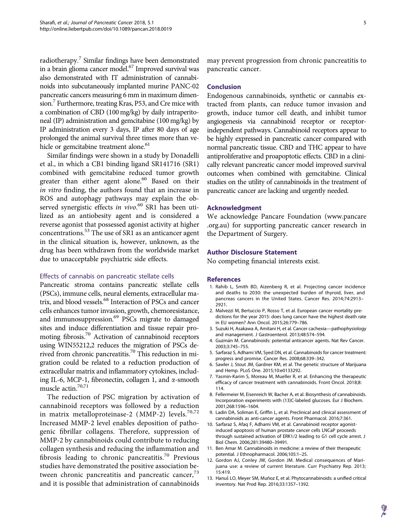radiotherapy.<sup>7</sup> Similar findings have been demonstrated in a brain glioma cancer model.67 Improved survival was also demonstrated with IT administration of cannabinoids into subcutaneously implanted murine PANC-02 pancreatic cancers measuring 6 mm in maximum dimension.<sup>7</sup> Furthermore, treating Kras, P53, and Cre mice with a combination of CBD (100 mg/kg) by daily intraperitoneal (IP) administration and gemcitabine (100 mg/kg) by IP administration every 3 days, IP after 80 days of age prolonged the animal survival three times more than vehicle or gemcitabine treatment alone.<sup>61</sup>

Similar findings were shown in a study by Donadelli et al., in which a CB1 binding ligand SR141716 (SR1) combined with gemcitabine reduced tumor growth greater than either agent alone.<sup>60</sup> Based on their in vitro finding, the authors found that an increase in ROS and autophagy pathways may explain the observed synergistic effects in vivo.<sup>60</sup> SR1 has been utilized as an antiobesity agent and is considered a reverse agonist that possessed agonist activity at higher concentrations.<sup>53</sup> The use of SR1 as an anticancer agent in the clinical situation is, however, unknown, as the drug has been withdrawn from the worldwide market due to unacceptable psychiatric side effects.

## Effects of cannabis on pancreatic stellate cells

Pancreatic stroma contains pancreatic stellate cells (PSCs), immune cells, neural elements, extracellular matrix, and blood vessels.<sup>68</sup> Interaction of PSCs and cancer cells enhances tumor invasion, growth, chemoresistance, and immunosuppression.<sup>69</sup> PSCs migrate to damaged sites and induce differentiation and tissue repair promoting fibrosis.<sup>70</sup> Activation of cannabinoid receptors using WIN55212,2 reduces the migration of PSCs derived from chronic pancreatitis.<sup>70</sup> This reduction in migration could be related to a reduction production of extracellular matrix and inflammatory cytokines, including IL-6, MCP-1, fibronectin, collagen 1, and  $\alpha$ -smooth muscle actin.<sup>70,71</sup>

The reduction of PSC migration by activation of cannabinoid receptors was followed by a reduction in matrix metalloproteinase-2 (MMP-2) levels.<sup>70,72</sup> Increased MMP-2 level enables deposition of pathogenic fibrillar collagens. Therefore, suppression of MMP-2 by cannabinoids could contribute to reducing collagen synthesis and reducing the inflammation and fibrosis leading to chronic pancreatitis.<sup>70</sup> Previous studies have demonstrated the positive association between chronic pancreatitis and pancreatic cancer,<sup>73</sup> and it is possible that administration of cannabinoids

may prevent progression from chronic pancreatitis to pancreatic cancer.

#### Conclusion

Endogenous cannabinoids, synthetic or cannabis extracted from plants, can reduce tumor invasion and growth, induce tumor cell death, and inhibit tumor angiogenesis via cannabinoid receptor or receptorindependent pathways. Cannabinoid receptors appear to be highly expressed in pancreatic cancer compared with normal pancreatic tissue. CBD and THC appear to have antiproliferative and proapoptotic effects. CBD in a clinically relevant pancreatic cancer model improved survival outcomes when combined with gemcitabine. Clinical studies on the utility of cannabinoids in the treatment of pancreatic cancer are lacking and urgently needed.

#### Acknowledgment

We acknowledge Pancare Foundation ([www.pancare](http://www.pancare.org.au) [.org.au\)](http://www.pancare.org.au) for supporting pancreatic cancer research in the Department of Surgery.

# Author Disclosure Statement

No competing financial interests exist.

#### References

- 1. Rahib L, Smith BD, Aizenberg R, et al. Projecting cancer incidence and deaths to 2030: the unexpected burden of thyroid, liver, and pancreas cancers in the United States. Cancer Res. 2014;74:2913– 2921.
- 2. Malvezzi M, Bertuccio P, Rosso T, et al. European cancer mortality predictions for the year 2015: does lung cancer have the highest death rate in EU women? Ann Oncol. 2015;26:779–786.
- 3. Suzuki H, Asakawa A, Amitani H, et al. Cancer cachexia—pathophysiology and management. J Gastroenterol. 2013;48:574–594.
- 4. Guzmán M. Cannabinoids: potential anticancer agents. Nat Rev Cancer. 2003;3:745–755.
- 5. Sarfaraz S, Adhami VM, Syed DN, et al. Cannabinoids for cancer treatment: progress and promise. Cancer Res. 2008;68:339–342.
- 6. Sawler J, Stout JM, Gardner KM, et al. The genetic structure of Marijuana and Hemp. PLoS One. 2015;10:e0133292.
- 7. Yasmin-Karim S, Moreau M, Mueller R, et al. Enhancing the therapeutic efficacy of cancer treatment with cannabinoids. Front Oncol. 2018;8: 114.
- 8. Fellermeier M, Eisenreich W, Bacher A, et al. Biosynthesis of cannabinoids. Incorporation experiments with (13)C-labeled glucoses. Eur J Biochem. 2001;268:1596–1604.
- 9. Ladin DA, Soliman E, Griffin L, et al. Preclinical and clinical assessment of cannabinoids as anti-cancer agents. Front Pharmacol. 2016;7:361.
- 10. Sarfaraz S, Afaq F, Adhami VM, et al. Cannabinoid receptor agonistinduced apoptosis of human prostate cancer cells LNCaP proceeds through sustained activation of ERK1/2 leading to G1 cell cycle arrest. J Biol Chem. 2006;281:39480–39491.
- 11. Ben Amar M. Cannabinoids in medicine: a review of their therapeutic potential. J Ethnopharmacol. 2006;105:1–25.
- 12. Gordon AJ, Conley JW, Gordon JM. Medical consequences of Marijuana use: a review of current literature. Curr Psychiatry Rep. 2013; 15:419.
- 13. Hanuš LO, Meyer SM, Muñoz E, et al. Phytocannabinoids: a unified critical inventory. Nat Prod Rep. 2016;33:1357–1392.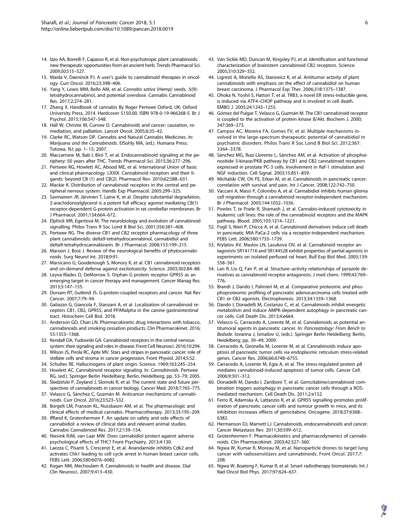- 14. Izzo AA, Borrelli F, Capasso R, et al. Non-psychotropic plant cannabinoids: new therapeutic opportunities from an ancient herb. Trends Pharmacol Sci. 2009;30:515–527.
- 15. Maida V, Daeninck PJ. A user's guide to cannabinoid therapies in oncology. Curr Oncol. 2016;23:398–406.
- 16. Yang Y, Lewis MM, Bello AM, et al. Cannabis sativa (Hemp) seeds,  $\Delta(9)$ tetrahydrocannabinol, and potential overdose. Cannabis Cannabinoid Res. 2017;2:274–281.
- 17. Zhang X. Handbook of cannabis By Roger Pertwee Oxford, UK: Oxford University Press, 2014. Hardcover \$150.00. ISBN 978-0-19-966268-5. Br J Psychol. 2015;106:547–548.
- 18. Hall W, Christie M, Currow D. Cannabinoids and cancer: causation, remediation, and palliation. Lancet Oncol. 2005;6:35–42.
- 19. Clarke RC, Watson DP. Cannabis and Natural Cannabis Medicines. In: Marijuana and the Cannabinoids. ElSohly MA, (ed.). Humana Press: Totowa, NJ; pp. 1–15; 2007.
- 20. Maccarrone M, Bab I, Bíró T, et al. Endocannabinoid signaling at the periphery: 50 years after THC. Trends Pharmacol Sci. 2015;36:277–296.
- 21. Pertwee RG, Howlett AC, Abood ME, et al. International Union of basic and clinical pharmacology. LXXIX. Cannabinoid receptors and their ligands: beyond CB (1) and CB(2). Pharmacol Rev. 2010;62:588–631.
- 22. Mackie K. Distribution of cannabinoid receptors in the central and peripheral nervous system. Handb Exp Pharmacol. 2005:299–325.
- 23. Savinainen JR, Järvinen T, Laine K, et al. Despite substantial degradation, 2-arachidonoylglycerol is a potent full efficacy agonist mediating CB(1) receptor-dependent G-protein activation in rat cerebellar membranes. Br J Pharmacol. 2001;134:664–672.
- 24. Elphick MR, Egertová M. The neurobiology and evolution of cannabinoid signalling. Philos Trans R Soc Lond B Biol Sci. 2001;356:381–408.
- 25. Pertwee RG. The diverse CB1 and CB2 receptor pharmacology of three plant cannabinoids: delta9-tetrahydrocannabinol, cannabidiol and delta9-tetrahydrocannabivarin. Br J Pharmacol. 2008;153:199–215.
- 26. Maroon J, Bost J. Review of the neurological benefits of phytocannabinoids. Surg Neurol Int. 2018;9:91.
- 27. Marsicano G, Goodenough S, Monory K, et al. CB1 cannabinoid receptors and on-demand defense against excitotoxicity. Science. 2003;302:84–88.
- 28. Leyva-Illades D, DeMorrow S. Orphan G protein receptor GPR55 as an emerging target in cancer therapy and management. Cancer Manag Res. 2013;5:147–155.
- 29. Dorsam RT, Gutkind JS. G-protein-coupled receptors and cancer. Nat Rev Cancer. 2007;7:79–94.
- 30. Galiazzo G, Giancola F, Stanzani A, et al. Localization of cannabinoid receptors CB1, CB2, GPR55, and PPARalpha in the canine gastrointestinal tract. Histochem Cell Biol. 2018.
- 31. Anderson GD, Chan LN. Pharmacokinetic drug interactions with tobacco, cannabinoids and smoking cessation products. Clin Pharmacokinet. 2016; 55:1353–1368.
- 32. Kendall DA, Yudowski GA. Cannabinoid receptors in the central nervous system: their signaling and roles in disease. Front Cell Neurosci. 2016;10:294.
- 33. Wilson JS, Pirola RC, Apte MV. Stars and stripes in pancreatic cancer: role of stellate cells and stroma in cancer progression. Front Physiol. 2014;5:52.
- 34. Schultes RE. Hallucinogens of plant origin. Science. 1969;163:245–254. 35. Howlett AC. Cannabinoid receptor signaling. In: Cannabinoids. Pertwee
- RG, (ed.). Springer Berlin Heidelberg: Berlin, Heidelberg; pp. 53–79; 2005. 36. Sledziński P, Zeyland J, Słomski R, et al. The current state and future per-
- spectives of cannabinoids in cancer biology. Cancer Med. 2018;7:765–775. 37. Velasco G, Sánchez C, Guzmán M. Anticancer mechanisms of cannabi-
- noids. Curr Oncol. 2016;23:S23–S32. 38. Borgelt LM, Franson KL, Nussbaum AM, et al. The pharmacologic and
- clinical effects of medical cannabis. Pharmacotherapy. 2013;33:195–209. 39. Iffland K, Grotenhermen F. An update on safety and side effects of cannabidiol: a review of clinical data and relevant animal studies.
- Cannabis Cannabinoid Res. 2017;2:139–154. 40. Niesink RJM, van Laar MW. Does cannabidiol protect against adverse
- psychological effects of THC? Front Psychiatry. 2013;4:130. 41. Laezza C, Pisanti S, Crescenzi E, et al. Anandamide inhibits Cdk2 and activates Chk1 leading to cell cycle arrest in human breast cancer cells.
- FEBS Lett. 2006;580:6076–6082. 42. Kogan NM, Mechoulam R. Cannabinoids in health and disease. Dial Clin Neurosci. 2007;9:413–430.
- 43. Van Sickle MD, Duncan M, Kingsley PJ, et al. Identification and functional characterization of brainstem cannabinoid CB2 receptors. Science. 2005;310:329–332.
- 44. Ligresti A, Moriello AS, Starowicz K, et al. Antitumor activity of plant cannabinoids with emphasis on the effect of cannabidiol on human breast carcinoma. J Pharmacol Exp Ther. 2006;318:1375–1387.
- 45. Ohoka N, Yoshii S, Hattori T, et al. TRB3, a novel ER stress-inducible gene, is induced via ATF4–CHOP pathway and is involved in cell death. EMBO J. 2005;24:1243–1255.
- 46. Gómez del Pulgar T, Velasco G, Guzmán M. The CB1 cannabinoid receptor is coupled to the activation of protein kinase B/Akt. Biochem J. 2000; 347:369–373.
- 47. Campos AC, Moreira FA, Gomes FV, et al. Multiple mechanisms involved in the large-spectrum therapeutic potential of cannabidiol in psychiatric disorders. Philos Trans R Soc Lond B Biol Sci. 2012;367: 3364–3378.
- 48. Sánchez MG, Ruiz-Llorente L, Sánchez AM, et al. Activation of phosphoinositide 3-kinase/PKB pathway by CB1 and CB2 cannabinoid receptors expressed in prostate PC-3 cells. Involvement in Raf-1 stimulation and NGF induction. Cell Signal. 2003;15:851–859.
- 49. Michalski CW, Oti FE, Erkan M, et al. Cannabinoids in pancreatic cancer: correlation with survival and pain. Int J Cancer. 2008;122:742–750.
- 50. Vaccani A, Massi P, Colombo A, et al. Cannabidiol inhibits human glioma cell migration through a cannabinoid receptor-independent mechanism. Br J Pharmacol. 2005;144:1032–1036.
- 51. Powles T, te Poele R, Shamash J, et al. Cannabis-induced cytotoxicity in leukemic cell lines: the role of the cannabinoid receptors and the MAPK pathway. Blood. 2005;105:1214–1221.
- 52. Fogli S, Nieri P, Chicca A, et al. Cannabinoid derivatives induce cell death in pancreatic MIA PaCa-2 cells via a receptor-independent mechanism. FEBS Lett. 2006;580:1733–1739.
- 53. Krylatov AV, Maslov LN, Lasukova OV, et al. Cannabinoid receptor antagonists SR141716 and SR144528 exhibit properties of partial agonists in experiments on isolated perfused rat heart. Bull Exp Biol Med. 2005;139: 558–561.
- 54. Lan R, Liu Q, Fan P, et al. Structure–activity relationships of pyrazole derivatives as cannabinoid receptor antagonists. J med chem. 1999;42:769– 776.
- 55. Brandi J, Dando I, Palmieri M, et al. Comparative proteomic and phosphoproteomic profiling of pancreatic adenocarcinoma cells treated with CB1 or CB2 agonists. Electrophoresis. 2013;34:1359–1368.
- 56. Dando I, Donadelli M, Costanzo C, et al. Cannabinoids inhibit energetic metabolism and induce AMPK-dependent autophagy in pancreatic cancer cells. Cell Death Dis. 2013;4:e664.
- 57. Velasco G, Carracedo A, Lorente M, et al. Cannabinoids as potential antitumoral agents in pancreatic cancer. In: Pancreatology: From Bench to Bedside. Iovanna J, Ismailov U, (eds.). Springer Berlin Heidelberg: Berlin, Heidelberg; pp. 39–49; 2009.
- 58. Carracedo A, Gironella M, Lorente M, et al. Cannabinoids induce apoptosis of pancreatic tumor cells via endoplasmic reticulum stress-related genes. Cancer Res. 2006;66:6748–6755.
- 59. Carracedo A, Lorente M, Egia A, et al. The stress-regulated protein p8 mediates cannabinoid-induced apoptosis of tumor cells. Cancer Cell. 2006;9:301–312.
- 60. Donadelli M, Dando I, Zaniboni T, et al. Gemcitabine/cannabinoid combination triggers autophagy in pancreatic cancer cells through a ROSmediated mechanism. Cell Death Dis. 2011;2:e152.
- 61. Ferro R, Adamska A, Lattanzio R, et al. GPR55 signalling promotes proliferation of pancreatic cancer cells and tumour growth in mice, and its inhibition increases effects of gemcitabine. Oncogene. 2018;37:6368– 6382.
- 62. Hermanson DJ, Marnett LJ. Cannabinoids, endocannabinoids and cancer. Cancer Metastasis Rev. 2011;30:599–612.
- 63. Grotenhermen F. Pharmacokinetics and pharmacodynamics of cannabinoids. Clin Pharmacokinet. 2003;42:327–360.
- 64. Ngwa W, Kumar R, Moreau M, et al. Nanoparticle drones to target lung cancer with radiosensitizers and cannabinoids. Front Oncol. 2017;7: 208.
- 65. Ngwa W, Boateng F, Kumar R, et al. Smart radiotherapy biomaterials. Int J Rad Oncol Biol Phys. 2017;97:624–637.